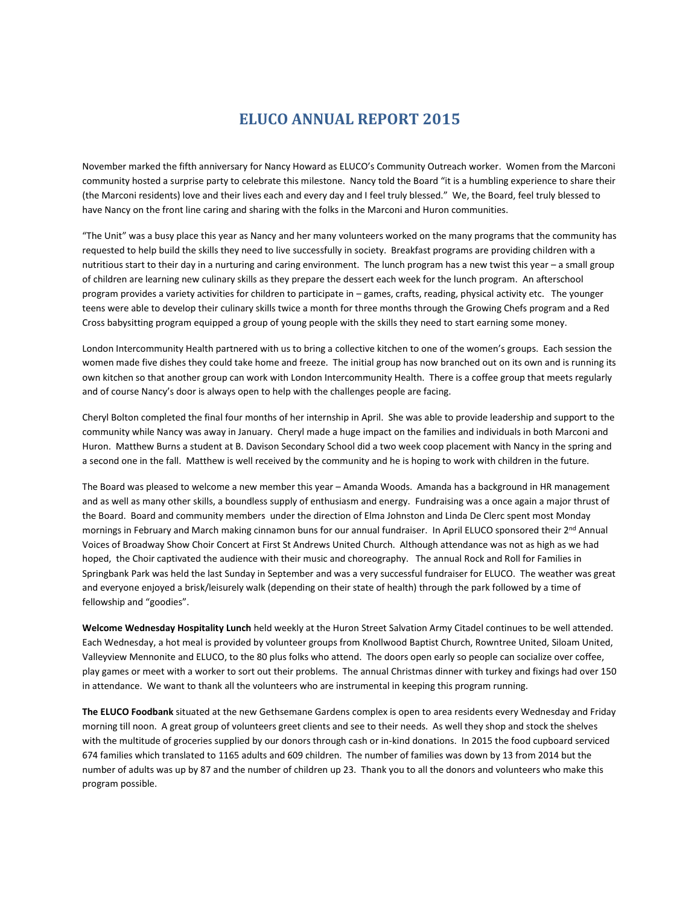## **ELUCO ANNUAL REPORT 2015**

November marked the fifth anniversary for Nancy Howard as ELUCO's Community Outreach worker. Women from the Marconi community hosted a surprise party to celebrate this milestone. Nancy told the Board "it is a humbling experience to share their (the Marconi residents) love and their lives each and every day and I feel truly blessed." We, the Board, feel truly blessed to have Nancy on the front line caring and sharing with the folks in the Marconi and Huron communities.

"The Unit" was a busy place this year as Nancy and her many volunteers worked on the many programs that the community has requested to help build the skills they need to live successfully in society. Breakfast programs are providing children with a nutritious start to their day in a nurturing and caring environment. The lunch program has a new twist this year – a small group of children are learning new culinary skills as they prepare the dessert each week for the lunch program. An afterschool program provides a variety activities for children to participate in – games, crafts, reading, physical activity etc. The younger teens were able to develop their culinary skills twice a month for three months through the Growing Chefs program and a Red Cross babysitting program equipped a group of young people with the skills they need to start earning some money.

London Intercommunity Health partnered with us to bring a collective kitchen to one of the women's groups. Each session the women made five dishes they could take home and freeze. The initial group has now branched out on its own and is running its own kitchen so that another group can work with London Intercommunity Health. There is a coffee group that meets regularly and of course Nancy's door is always open to help with the challenges people are facing.

Cheryl Bolton completed the final four months of her internship in April. She was able to provide leadership and support to the community while Nancy was away in January. Cheryl made a huge impact on the families and individuals in both Marconi and Huron. Matthew Burns a student at B. Davison Secondary School did a two week coop placement with Nancy in the spring and a second one in the fall. Matthew is well received by the community and he is hoping to work with children in the future.

The Board was pleased to welcome a new member this year – Amanda Woods. Amanda has a background in HR management and as well as many other skills, a boundless supply of enthusiasm and energy. Fundraising was a once again a major thrust of the Board. Board and community members under the direction of Elma Johnston and Linda De Clerc spent most Monday mornings in February and March making cinnamon buns for our annual fundraiser. In April ELUCO sponsored their 2<sup>nd</sup> Annual Voices of Broadway Show Choir Concert at First St Andrews United Church. Although attendance was not as high as we had hoped, the Choir captivated the audience with their music and choreography. The annual Rock and Roll for Families in Springbank Park was held the last Sunday in September and was a very successful fundraiser for ELUCO. The weather was great and everyone enjoyed a brisk/leisurely walk (depending on their state of health) through the park followed by a time of fellowship and "goodies".

**Welcome Wednesday Hospitality Lunch** held weekly at the Huron Street Salvation Army Citadel continues to be well attended. Each Wednesday, a hot meal is provided by volunteer groups from Knollwood Baptist Church, Rowntree United, Siloam United, Valleyview Mennonite and ELUCO, to the 80 plus folks who attend. The doors open early so people can socialize over coffee, play games or meet with a worker to sort out their problems. The annual Christmas dinner with turkey and fixings had over 150 in attendance. We want to thank all the volunteers who are instrumental in keeping this program running.

**The ELUCO Foodbank** situated at the new Gethsemane Gardens complex is open to area residents every Wednesday and Friday morning till noon. A great group of volunteers greet clients and see to their needs. As well they shop and stock the shelves with the multitude of groceries supplied by our donors through cash or in-kind donations. In 2015 the food cupboard serviced 674 families which translated to 1165 adults and 609 children. The number of families was down by 13 from 2014 but the number of adults was up by 87 and the number of children up 23. Thank you to all the donors and volunteers who make this program possible.